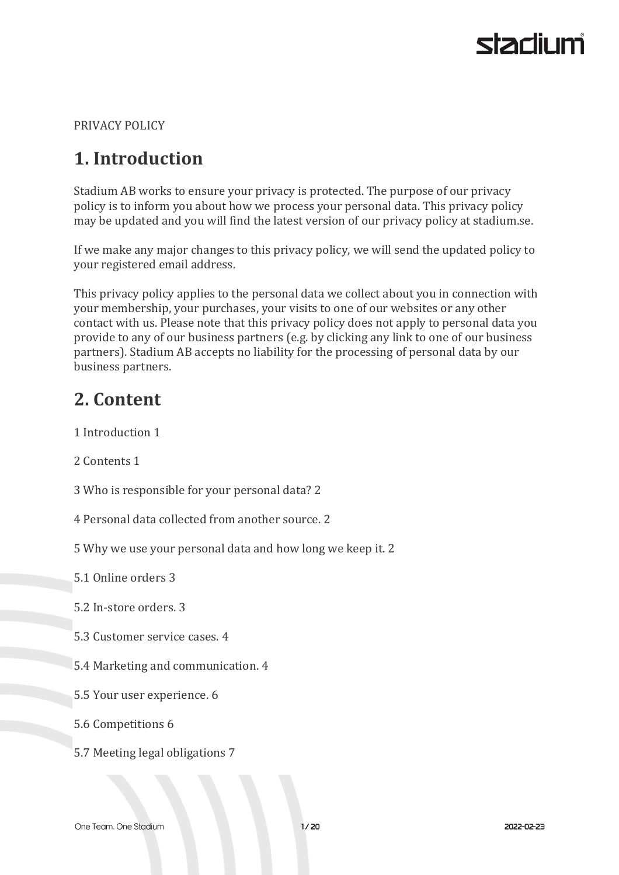PRIVACY POLICY

## **1. Introduction**

Stadium AB works to ensure your privacy is protected. The purpose of our privacy policy is to inform you about how we process your personal data. This privacy policy may be updated and you will find the latest version of our privacy policy at stadium.se.

If we make any major changes to this privacy policy, we will send the updated policy to your registered email address.

This privacy policy applies to the personal data we collect about you in connection with your membership, your purchases, your visits to one of our websites or any other contact with us. Please note that this privacy policy does not apply to personal data you provide to any of our business partners (e.g. by clicking any link to one of our business partners). Stadium AB accepts no liability for the processing of personal data by our business partners.

## **2. Content**

1 Introduction 1

2 Contents 1

- 3 Who is responsible for your personal data? 2
- 4 Personal data collected from another source. 2
- 5 Why we use your personal data and how long we keep it. 2

5.1 Online orders 3

- 5.2 In-store orders. 3
- 5.3 Customer service cases. 4
- 5.4 Marketing and communication. 4
- 5.5 Your user experience. 6
- 5.6 Competitions 6
- 5.7 Meeting legal obligations 7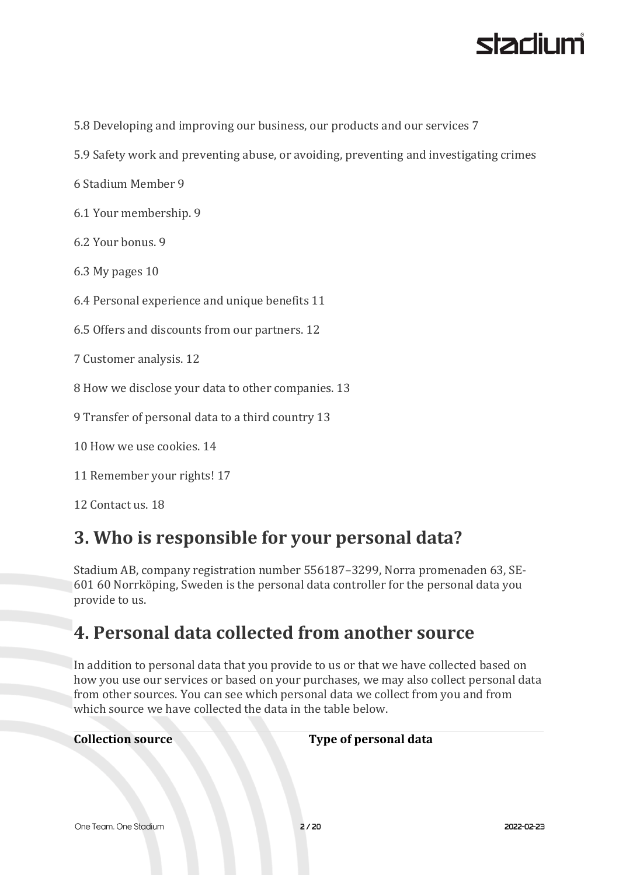

5.8 Developing and improving our business, our products and our services 7

- 5.9 Safety work and preventing abuse, or avoiding, preventing and investigating crimes
- 6 Stadium Member 9
- 6.1 Your membership. 9
- 6.2 Your bonus. 9
- 6.3 My pages 10
- 6.4 Personal experience and unique benefits 11
- 6.5 Offers and discounts from our partners. 12
- 7 Customer analysis. 12
- 8 How we disclose your data to other companies. 13
- 9 Transfer of personal data to a third country 13
- 10 How we use cookies. 14
- 11 Remember your rights! 17
- 12 Contact us. 18

## **3. Who is responsible for your personal data?**

Stadium AB, company registration number 556187–3299, Norra promenaden 63, SE-601 60 Norrköping, Sweden is the personal data controller for the personal data you provide to us.

## **4. Personal data collected from another source**

In addition to personal data that you provide to us or that we have collected based on how you use our services or based on your purchases, we may also collect personal data from other sources. You can see which personal data we collect from you and from which source we have collected the data in the table below.

**Collection source Type of personal data**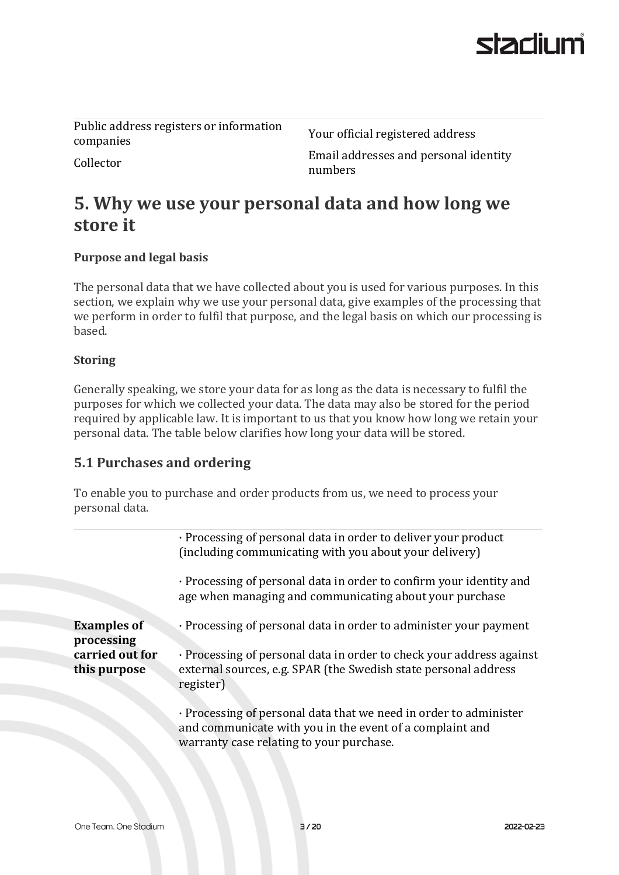Public address registers or information r ubite address registers or information<br>
Your official registered address<br>
companies

Collector Email addresses and personal identity numbers

## **5. Why we use your personal data and how long we store it**

#### **Purpose and legal basis**

The personal data that we have collected about you is used for various purposes. In this section, we explain why we use your personal data, give examples of the processing that we perform in order to fulfil that purpose, and the legal basis on which our processing is based.

#### **Storing**

Generally speaking, we store your data for as long as the data is necessary to fulfil the purposes for which we collected your data. The data may also be stored for the period required by applicable law. It is important to us that you know how long we retain your personal data. The table below clarifies how long your data will be stored.

#### **5.1 Purchases and ordering**

To enable you to purchase and order products from us, we need to process your personal data.

|                                  | · Processing of personal data in order to deliver your product<br>(including communicating with you about your delivery)                                                  |
|----------------------------------|---------------------------------------------------------------------------------------------------------------------------------------------------------------------------|
|                                  | · Processing of personal data in order to confirm your identity and<br>age when managing and communicating about your purchase                                            |
| <b>Examples of</b><br>processing | · Processing of personal data in order to administer your payment                                                                                                         |
| carried out for<br>this purpose  | · Processing of personal data in order to check your address against<br>external sources, e.g. SPAR (the Swedish state personal address<br>register)                      |
|                                  | · Processing of personal data that we need in order to administer<br>and communicate with you in the event of a complaint and<br>warranty case relating to your purchase. |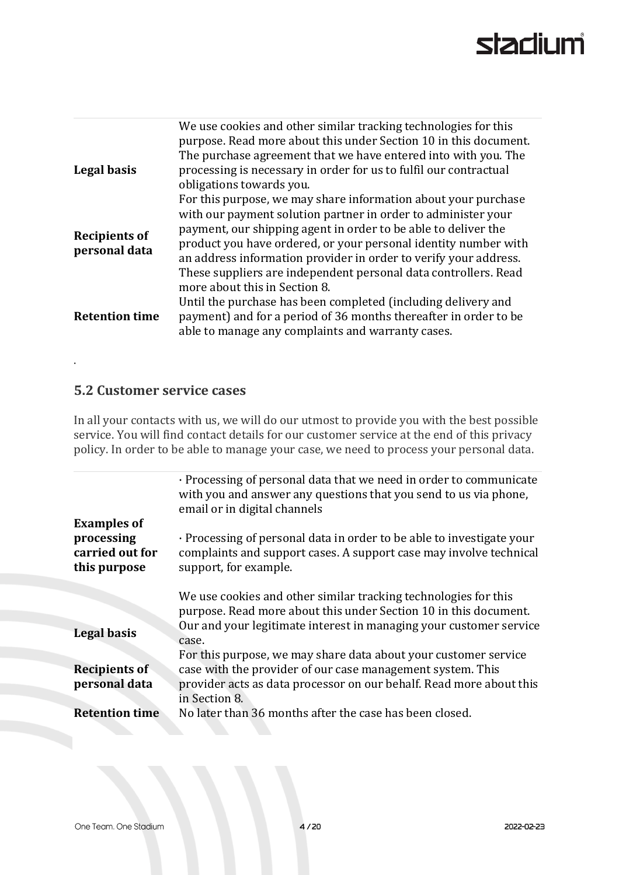| Legal basis                           | We use cookies and other similar tracking technologies for this<br>purpose. Read more about this under Section 10 in this document.<br>The purchase agreement that we have entered into with you. The<br>processing is necessary in order for us to fulfil our contractual<br>obligations towards you.                                                                                                      |
|---------------------------------------|-------------------------------------------------------------------------------------------------------------------------------------------------------------------------------------------------------------------------------------------------------------------------------------------------------------------------------------------------------------------------------------------------------------|
| <b>Recipients of</b><br>personal data | For this purpose, we may share information about your purchase<br>with our payment solution partner in order to administer your<br>payment, our shipping agent in order to be able to deliver the<br>product you have ordered, or your personal identity number with<br>an address information provider in order to verify your address.<br>These suppliers are independent personal data controllers. Read |
| <b>Retention time</b>                 | more about this in Section 8.<br>Until the purchase has been completed (including delivery and<br>payment) and for a period of 36 months thereafter in order to be<br>able to manage any complaints and warranty cases.                                                                                                                                                                                     |

#### **5.2 Customer service cases**

.

In all your contacts with us, we will do our utmost to provide you with the best possible service. You will find contact details for our customer service at the end of this privacy policy. In order to be able to manage your case, we need to process your personal data.

|                                               | · Processing of personal data that we need in order to communicate<br>with you and answer any questions that you send to us via phone,<br>email or in digital channels |
|-----------------------------------------------|------------------------------------------------------------------------------------------------------------------------------------------------------------------------|
| <b>Examples of</b>                            |                                                                                                                                                                        |
| processing<br>carried out for<br>this purpose | · Processing of personal data in order to be able to investigate your<br>complaints and support cases. A support case may involve technical<br>support, for example.   |
|                                               |                                                                                                                                                                        |
|                                               | We use cookies and other similar tracking technologies for this                                                                                                        |
|                                               | purpose. Read more about this under Section 10 in this document.                                                                                                       |
| Legal basis                                   | Our and your legitimate interest in managing your customer service<br>case.                                                                                            |
|                                               | For this purpose, we may share data about your customer service                                                                                                        |
| <b>Recipients of</b>                          | case with the provider of our case management system. This                                                                                                             |
| personal data                                 | provider acts as data processor on our behalf. Read more about this<br>in Section 8.                                                                                   |
| <b>Retention time</b>                         | No later than 36 months after the case has been closed.                                                                                                                |
|                                               |                                                                                                                                                                        |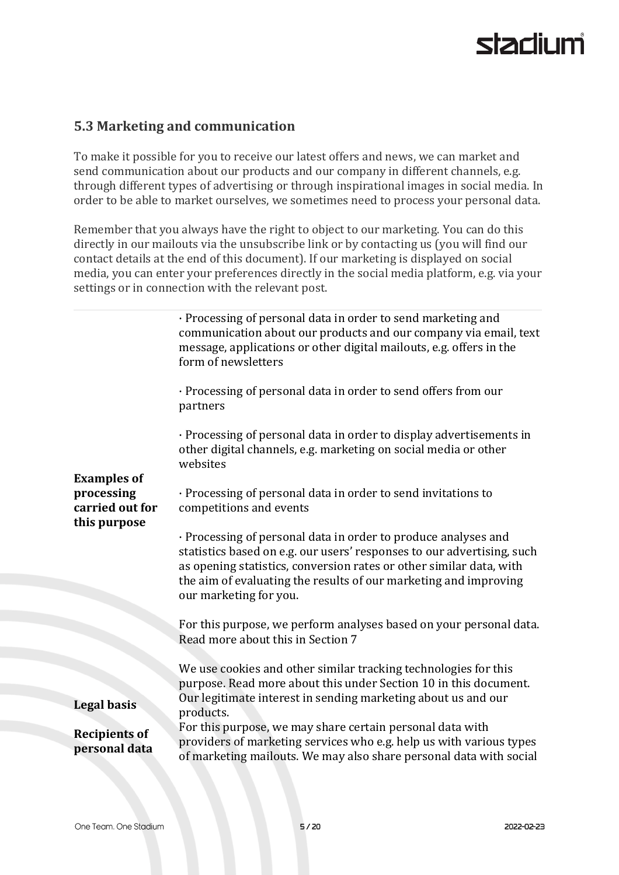#### **5.3 Marketing and communication**

To make it possible for you to receive our latest offers and news, we can market and send communication about our products and our company in different channels, e.g. through different types of advertising or through inspirational images in social media. In order to be able to market ourselves, we sometimes need to process your personal data.

Remember that you always have the right to object to our marketing. You can do this directly in our mailouts via the unsubscribe link or by contacting us (you will find our contact details at the end of this document). If our marketing is displayed on social media, you can enter your preferences directly in the social media platform, e.g. via your settings or in connection with the relevant post.

| · Processing of personal data in order to send marketing and<br>communication about our products and our company via email, text<br>message, applications or other digital mailouts, e.g. offers in the<br>form of newsletters                                                                                |
|---------------------------------------------------------------------------------------------------------------------------------------------------------------------------------------------------------------------------------------------------------------------------------------------------------------|
| · Processing of personal data in order to send offers from our<br>partners                                                                                                                                                                                                                                    |
| · Processing of personal data in order to display advertisements in<br>other digital channels, e.g. marketing on social media or other<br>websites                                                                                                                                                            |
| · Processing of personal data in order to send invitations to<br>competitions and events                                                                                                                                                                                                                      |
| · Processing of personal data in order to produce analyses and<br>statistics based on e.g. our users' responses to our advertising, such<br>as opening statistics, conversion rates or other similar data, with<br>the aim of evaluating the results of our marketing and improving<br>our marketing for you. |
| For this purpose, we perform analyses based on your personal data.<br>Read more about this in Section 7                                                                                                                                                                                                       |
| We use cookies and other similar tracking technologies for this<br>purpose. Read more about this under Section 10 in this document.<br>Our legitimate interest in sending marketing about us and our<br>products.                                                                                             |
| For this purpose, we may share certain personal data with<br>providers of marketing services who e.g. help us with various types<br>of marketing mailouts. We may also share personal data with social                                                                                                        |
|                                                                                                                                                                                                                                                                                                               |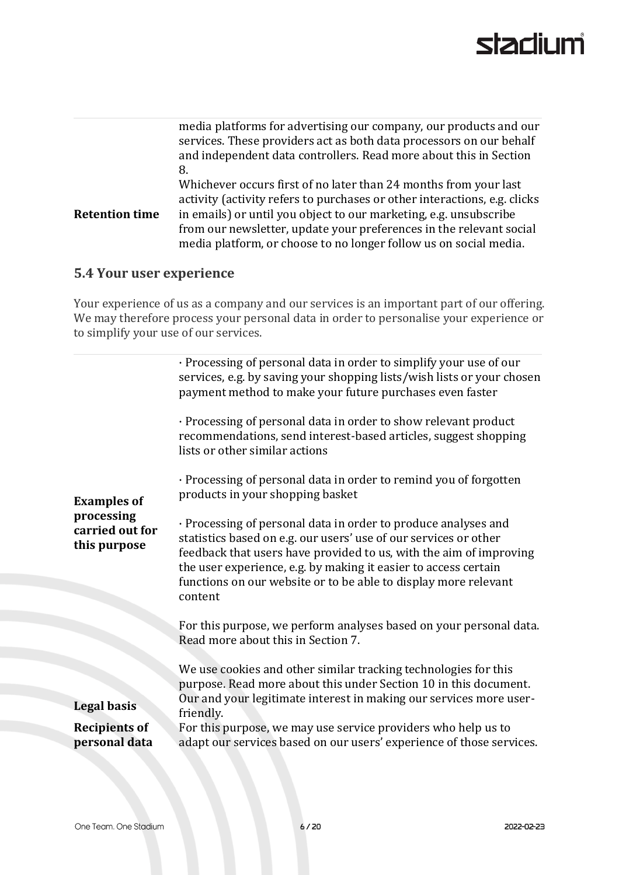|                       | media platforms for advertising our company, our products and our<br>services. These providers act as both data processors on our behalf<br>and independent data controllers. Read more about this in Section<br>8.                                                                                                                                            |
|-----------------------|----------------------------------------------------------------------------------------------------------------------------------------------------------------------------------------------------------------------------------------------------------------------------------------------------------------------------------------------------------------|
| <b>Retention time</b> | Whichever occurs first of no later than 24 months from your last<br>activity (activity refers to purchases or other interactions, e.g. clicks<br>in emails) or until you object to our marketing, e.g. unsubscribe<br>from our newsletter, update your preferences in the relevant social<br>media platform, or choose to no longer follow us on social media. |

#### **5.4 Your user experience**

Your experience of us as a company and our services is an important part of our offering. We may therefore process your personal data in order to personalise your experience or to simplify your use of our services.

| <b>Examples of</b><br>processing<br>carried out for<br>this purpose | · Processing of personal data in order to simplify your use of our<br>services, e.g. by saving your shopping lists/wish lists or your chosen<br>payment method to make your future purchases even faster<br>· Processing of personal data in order to show relevant product<br>recommendations, send interest-based articles, suggest shopping<br>lists or other similar actions<br>· Processing of personal data in order to remind you of forgotten<br>products in your shopping basket<br>· Processing of personal data in order to produce analyses and<br>statistics based on e.g. our users' use of our services or other<br>feedback that users have provided to us, with the aim of improving<br>the user experience, e.g. by making it easier to access certain<br>functions on our website or to be able to display more relevant<br>content<br>For this purpose, we perform analyses based on your personal data. |
|---------------------------------------------------------------------|------------------------------------------------------------------------------------------------------------------------------------------------------------------------------------------------------------------------------------------------------------------------------------------------------------------------------------------------------------------------------------------------------------------------------------------------------------------------------------------------------------------------------------------------------------------------------------------------------------------------------------------------------------------------------------------------------------------------------------------------------------------------------------------------------------------------------------------------------------------------------------------------------------------------------|
|                                                                     | Read more about this in Section 7.<br>We use cookies and other similar tracking technologies for this                                                                                                                                                                                                                                                                                                                                                                                                                                                                                                                                                                                                                                                                                                                                                                                                                        |
|                                                                     | purpose. Read more about this under Section 10 in this document.                                                                                                                                                                                                                                                                                                                                                                                                                                                                                                                                                                                                                                                                                                                                                                                                                                                             |
| <b>Legal basis</b>                                                  | Our and your legitimate interest in making our services more user-<br>friendly.                                                                                                                                                                                                                                                                                                                                                                                                                                                                                                                                                                                                                                                                                                                                                                                                                                              |
| <b>Recipients of</b><br>personal data                               | For this purpose, we may use service providers who help us to<br>adapt our services based on our users' experience of those services.                                                                                                                                                                                                                                                                                                                                                                                                                                                                                                                                                                                                                                                                                                                                                                                        |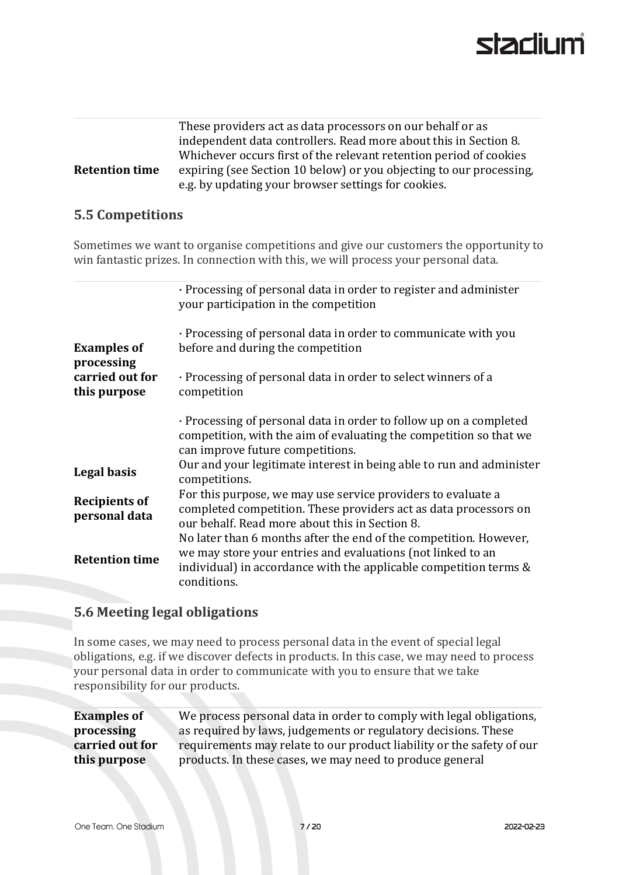|                       | These providers act as data processors on our behalf or as          |
|-----------------------|---------------------------------------------------------------------|
|                       | independent data controllers. Read more about this in Section 8.    |
|                       | Whichever occurs first of the relevant retention period of cookies  |
| <b>Retention time</b> | expiring (see Section 10 below) or you objecting to our processing, |
|                       | e.g. by updating your browser settings for cookies.                 |

#### **5.5 Competitions**

Sometimes we want to organise competitions and give our customers the opportunity to win fantastic prizes. In connection with this, we will process your personal data.

|                                       | · Processing of personal data in order to register and administer<br>your participation in the competition                                                                                                           |
|---------------------------------------|----------------------------------------------------------------------------------------------------------------------------------------------------------------------------------------------------------------------|
| <b>Examples of</b><br>processing      | · Processing of personal data in order to communicate with you<br>before and during the competition                                                                                                                  |
| carried out for<br>this purpose       | · Processing of personal data in order to select winners of a<br>competition                                                                                                                                         |
|                                       | · Processing of personal data in order to follow up on a completed<br>competition, with the aim of evaluating the competition so that we<br>can improve future competitions.                                         |
| Legal basis                           | Our and your legitimate interest in being able to run and administer<br>competitions.                                                                                                                                |
| <b>Recipients of</b><br>personal data | For this purpose, we may use service providers to evaluate a<br>completed competition. These providers act as data processors on<br>our behalf. Read more about this in Section 8.                                   |
| <b>Retention time</b>                 | No later than 6 months after the end of the competition. However,<br>we may store your entries and evaluations (not linked to an<br>individual) in accordance with the applicable competition terms &<br>conditions. |

#### **5.6 Meeting legal obligations**

In some cases, we may need to process personal data in the event of special legal obligations, e.g. if we discover defects in products. In this case, we may need to process your personal data in order to communicate with you to ensure that we take responsibility for our products.

| <b>Examples of</b> | We process personal data in order to comply with legal obligations,   |
|--------------------|-----------------------------------------------------------------------|
| processing         | as required by laws, judgements or regulatory decisions. These        |
| carried out for    | requirements may relate to our product liability or the safety of our |
| this purpose       | products. In these cases, we may need to produce general              |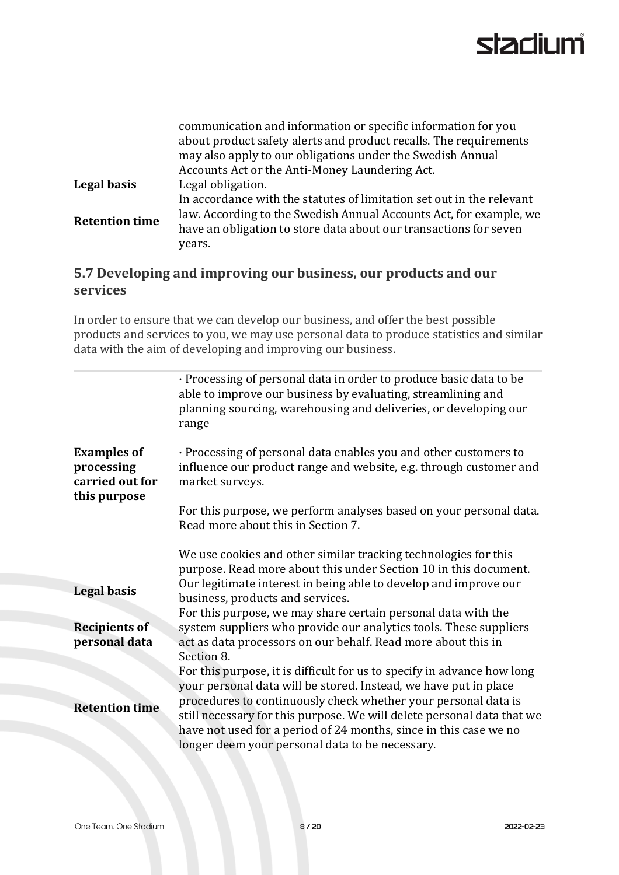| communication and information or specific information for you<br>about product safety alerts and product recalls. The requirements<br>may also apply to our obligations under the Swedish Annual |
|--------------------------------------------------------------------------------------------------------------------------------------------------------------------------------------------------|
| Accounts Act or the Anti-Money Laundering Act.                                                                                                                                                   |
| Legal obligation.                                                                                                                                                                                |
| In accordance with the statutes of limitation set out in the relevant                                                                                                                            |
| law. According to the Swedish Annual Accounts Act, for example, we<br>have an obligation to store data about our transactions for seven<br>years.                                                |
|                                                                                                                                                                                                  |

#### **5.7 Developing and improving our business, our products and our services**

In order to ensure that we can develop our business, and offer the best possible products and services to you, we may use personal data to produce statistics and similar data with the aim of developing and improving our business.

|                                                                     | · Processing of personal data in order to produce basic data to be<br>able to improve our business by evaluating, streamlining and<br>planning sourcing, warehousing and deliveries, or developing our<br>range                                                                                                                                                                                                 |
|---------------------------------------------------------------------|-----------------------------------------------------------------------------------------------------------------------------------------------------------------------------------------------------------------------------------------------------------------------------------------------------------------------------------------------------------------------------------------------------------------|
| <b>Examples of</b><br>processing<br>carried out for<br>this purpose | · Processing of personal data enables you and other customers to<br>influence our product range and website, e.g. through customer and<br>market surveys.                                                                                                                                                                                                                                                       |
|                                                                     | For this purpose, we perform analyses based on your personal data.<br>Read more about this in Section 7.                                                                                                                                                                                                                                                                                                        |
| Legal basis                                                         | We use cookies and other similar tracking technologies for this<br>purpose. Read more about this under Section 10 in this document.<br>Our legitimate interest in being able to develop and improve our<br>business, products and services.                                                                                                                                                                     |
| <b>Recipients of</b><br>personal data                               | For this purpose, we may share certain personal data with the<br>system suppliers who provide our analytics tools. These suppliers<br>act as data processors on our behalf. Read more about this in<br>Section 8.                                                                                                                                                                                               |
| <b>Retention time</b>                                               | For this purpose, it is difficult for us to specify in advance how long<br>your personal data will be stored. Instead, we have put in place<br>procedures to continuously check whether your personal data is<br>still necessary for this purpose. We will delete personal data that we<br>have not used for a period of 24 months, since in this case we no<br>longer deem your personal data to be necessary. |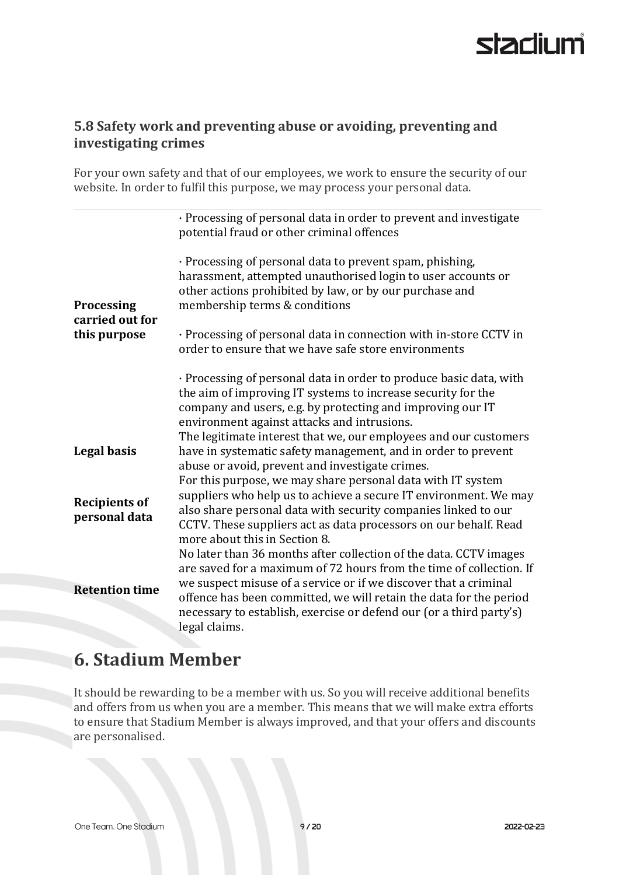#### **5.8 Safety work and preventing abuse or avoiding, preventing and investigating crimes**

For your own safety and that of our employees, we work to ensure the security of our website. In order to fulfil this purpose, we may process your personal data.

|                                       | · Processing of personal data in order to prevent and investigate<br>potential fraud or other criminal offences                                                                                                                                                                                                                                                            |
|---------------------------------------|----------------------------------------------------------------------------------------------------------------------------------------------------------------------------------------------------------------------------------------------------------------------------------------------------------------------------------------------------------------------------|
| <b>Processing</b><br>carried out for  | · Processing of personal data to prevent spam, phishing,<br>harassment, attempted unauthorised login to user accounts or<br>other actions prohibited by law, or by our purchase and<br>membership terms & conditions                                                                                                                                                       |
| this purpose                          | · Processing of personal data in connection with in-store CCTV in<br>order to ensure that we have safe store environments                                                                                                                                                                                                                                                  |
|                                       | · Processing of personal data in order to produce basic data, with<br>the aim of improving IT systems to increase security for the<br>company and users, e.g. by protecting and improving our IT<br>environment against attacks and intrusions.<br>The legitimate interest that we, our employees and our customers                                                        |
| Legal basis                           | have in systematic safety management, and in order to prevent<br>abuse or avoid, prevent and investigate crimes.                                                                                                                                                                                                                                                           |
| <b>Recipients of</b><br>personal data | For this purpose, we may share personal data with IT system<br>suppliers who help us to achieve a secure IT environment. We may<br>also share personal data with security companies linked to our<br>CCTV. These suppliers act as data processors on our behalf. Read<br>more about this in Section 8.                                                                     |
| <b>Retention time</b>                 | No later than 36 months after collection of the data. CCTV images<br>are saved for a maximum of 72 hours from the time of collection. If<br>we suspect misuse of a service or if we discover that a criminal<br>offence has been committed, we will retain the data for the period<br>necessary to establish, exercise or defend our (or a third party's)<br>legal claims. |

## **6. Stadium Member**

It should be rewarding to be a member with us. So you will receive additional benefits and offers from us when you are a member. This means that we will make extra efforts to ensure that Stadium Member is always improved, and that your offers and discounts are personalised.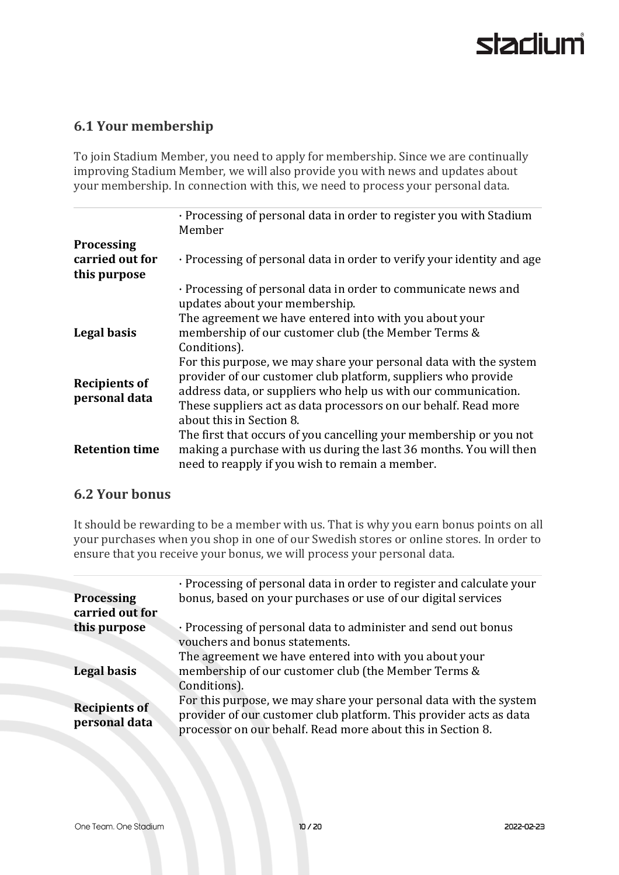#### **6.1 Your membership**

To join Stadium Member, you need to apply for membership. Since we are continually improving Stadium Member, we will also provide you with news and updates about your membership. In connection with this, we need to process your personal data.

|                                                      | · Processing of personal data in order to register you with Stadium<br>Member                                                                                                                                                                                                                       |
|------------------------------------------------------|-----------------------------------------------------------------------------------------------------------------------------------------------------------------------------------------------------------------------------------------------------------------------------------------------------|
| <b>Processing</b><br>carried out for<br>this purpose | · Processing of personal data in order to verify your identity and age                                                                                                                                                                                                                              |
|                                                      | · Processing of personal data in order to communicate news and<br>updates about your membership.                                                                                                                                                                                                    |
| Legal basis                                          | The agreement we have entered into with you about your<br>membership of our customer club (the Member Terms &<br>Conditions).                                                                                                                                                                       |
| <b>Recipients of</b><br>personal data                | For this purpose, we may share your personal data with the system<br>provider of our customer club platform, suppliers who provide<br>address data, or suppliers who help us with our communication.<br>These suppliers act as data processors on our behalf. Read more<br>about this in Section 8. |
| <b>Retention time</b>                                | The first that occurs of you cancelling your membership or you not<br>making a purchase with us during the last 36 months. You will then<br>need to reapply if you wish to remain a member.                                                                                                         |

#### **6.2 Your bonus**

It should be rewarding to be a member with us. That is why you earn bonus points on all your purchases when you shop in one of our Swedish stores or online stores. In order to ensure that you receive your bonus, we will process your personal data.

|                                       | · Processing of personal data in order to register and calculate your                                                                                                                                  |
|---------------------------------------|--------------------------------------------------------------------------------------------------------------------------------------------------------------------------------------------------------|
| <b>Processing</b><br>carried out for  | bonus, based on your purchases or use of our digital services                                                                                                                                          |
| this purpose                          | · Processing of personal data to administer and send out bonus<br>vouchers and bonus statements.<br>The agreement we have entered into with you about your                                             |
| <b>Legal basis</b>                    | membership of our customer club (the Member Terms &<br>Conditions).                                                                                                                                    |
| <b>Recipients of</b><br>personal data | For this purpose, we may share your personal data with the system<br>provider of our customer club platform. This provider acts as data<br>processor on our behalf. Read more about this in Section 8. |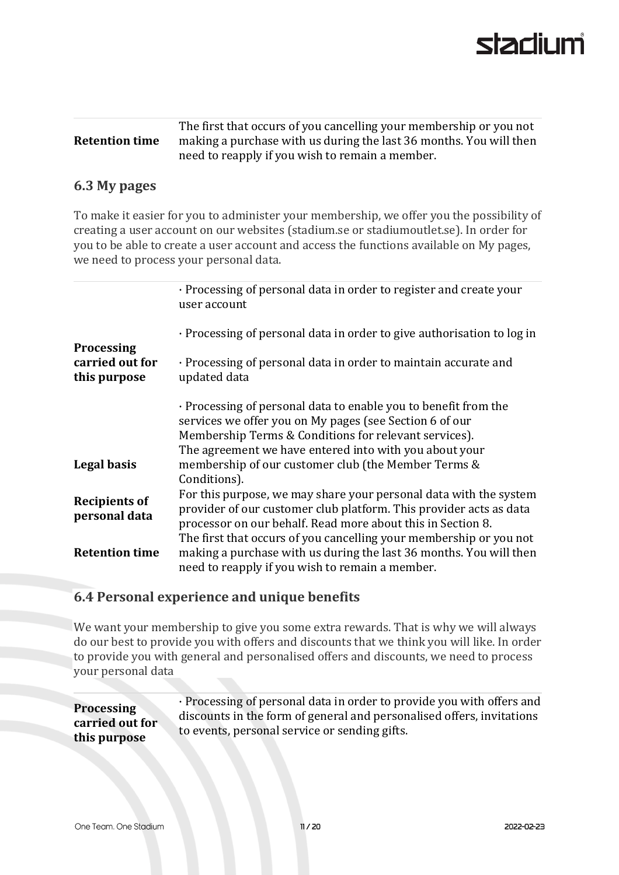|                       | The first that occurs of you cancelling your membership or you not |
|-----------------------|--------------------------------------------------------------------|
| <b>Retention time</b> | making a purchase with us during the last 36 months. You will then |
|                       | need to reapply if you wish to remain a member.                    |

#### **6.3 My pages**

To make it easier for you to administer your membership, we offer you the possibility of creating a user account on our websites (stadium.se or stadiumoutlet.se). In order for you to be able to create a user account and access the functions available on My pages, we need to process your personal data.

|                                                      | · Processing of personal data in order to register and create your<br>user account                                                                                                                                                                                           |
|------------------------------------------------------|------------------------------------------------------------------------------------------------------------------------------------------------------------------------------------------------------------------------------------------------------------------------------|
|                                                      | · Processing of personal data in order to give authorisation to log in                                                                                                                                                                                                       |
| <b>Processing</b><br>carried out for<br>this purpose | · Processing of personal data in order to maintain accurate and<br>updated data                                                                                                                                                                                              |
|                                                      | · Processing of personal data to enable you to benefit from the<br>services we offer you on My pages (see Section 6 of our<br>Membership Terms & Conditions for relevant services).<br>The agreement we have entered into with you about your                                |
| Legal basis                                          | membership of our customer club (the Member Terms &<br>Conditions).                                                                                                                                                                                                          |
| <b>Recipients of</b><br>personal data                | For this purpose, we may share your personal data with the system<br>provider of our customer club platform. This provider acts as data<br>processor on our behalf. Read more about this in Section 8.<br>The first that occurs of you cancelling your membership or you not |
| <b>Retention time</b>                                | making a purchase with us during the last 36 months. You will then<br>need to reapply if you wish to remain a member.                                                                                                                                                        |

#### **6.4 Personal experience and unique benefits**

We want your membership to give you some extra rewards. That is why we will always do our best to provide you with offers and discounts that we think you will like. In order to provide you with general and personalised offers and discounts, we need to process your personal data

**Processing carried out for this purpose** · Processing of personal data in order to provide you with offers and discounts in the form of general and personalised offers, invitations to events, personal service or sending gifts.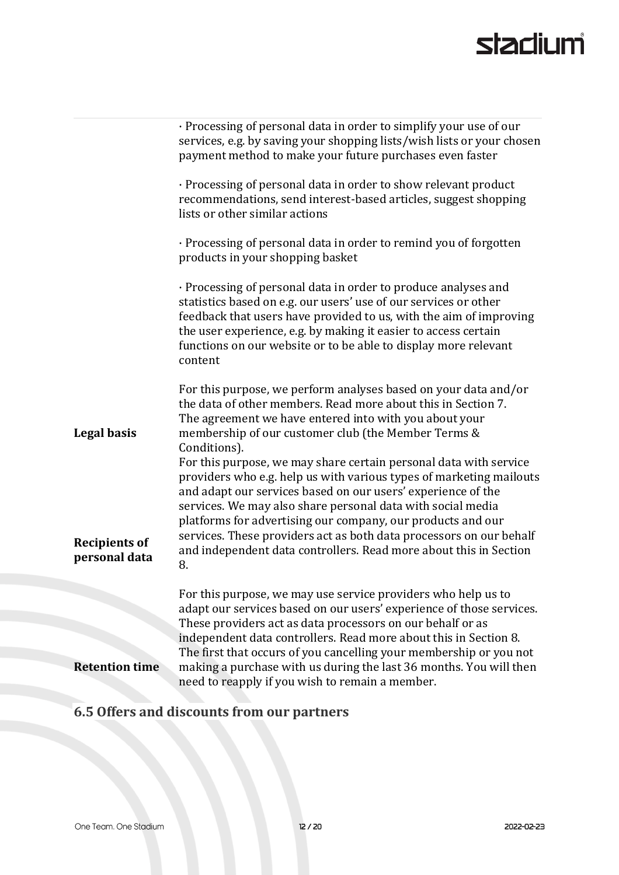|                                       | · Processing of personal data in order to simplify your use of our<br>services, e.g. by saving your shopping lists/wish lists or your chosen<br>payment method to make your future purchases even faster                                                                                                                                                                                                                                                                                 |
|---------------------------------------|------------------------------------------------------------------------------------------------------------------------------------------------------------------------------------------------------------------------------------------------------------------------------------------------------------------------------------------------------------------------------------------------------------------------------------------------------------------------------------------|
|                                       | · Processing of personal data in order to show relevant product<br>recommendations, send interest-based articles, suggest shopping<br>lists or other similar actions                                                                                                                                                                                                                                                                                                                     |
|                                       | · Processing of personal data in order to remind you of forgotten<br>products in your shopping basket                                                                                                                                                                                                                                                                                                                                                                                    |
|                                       | · Processing of personal data in order to produce analyses and<br>statistics based on e.g. our users' use of our services or other<br>feedback that users have provided to us, with the aim of improving<br>the user experience, e.g. by making it easier to access certain<br>functions on our website or to be able to display more relevant<br>content                                                                                                                                |
| Legal basis                           | For this purpose, we perform analyses based on your data and/or<br>the data of other members. Read more about this in Section 7.<br>The agreement we have entered into with you about your<br>membership of our customer club (the Member Terms &<br>Conditions).                                                                                                                                                                                                                        |
| <b>Recipients of</b><br>personal data | For this purpose, we may share certain personal data with service<br>providers who e.g. help us with various types of marketing mailouts<br>and adapt our services based on our users' experience of the<br>services. We may also share personal data with social media<br>platforms for advertising our company, our products and our<br>services. These providers act as both data processors on our behalf<br>and independent data controllers. Read more about this in Section<br>8. |
|                                       | For this purpose, we may use service providers who help us to<br>adapt our services based on our users' experience of those services.<br>These providers act as data processors on our behalf or as<br>independent data controllers. Read more about this in Section 8.                                                                                                                                                                                                                  |
| <b>Retention time</b>                 | The first that occurs of you cancelling your membership or you not<br>making a purchase with us during the last 36 months. You will then<br>need to reapply if you wish to remain a member.                                                                                                                                                                                                                                                                                              |

# **6.5 Offers and discounts from our partners**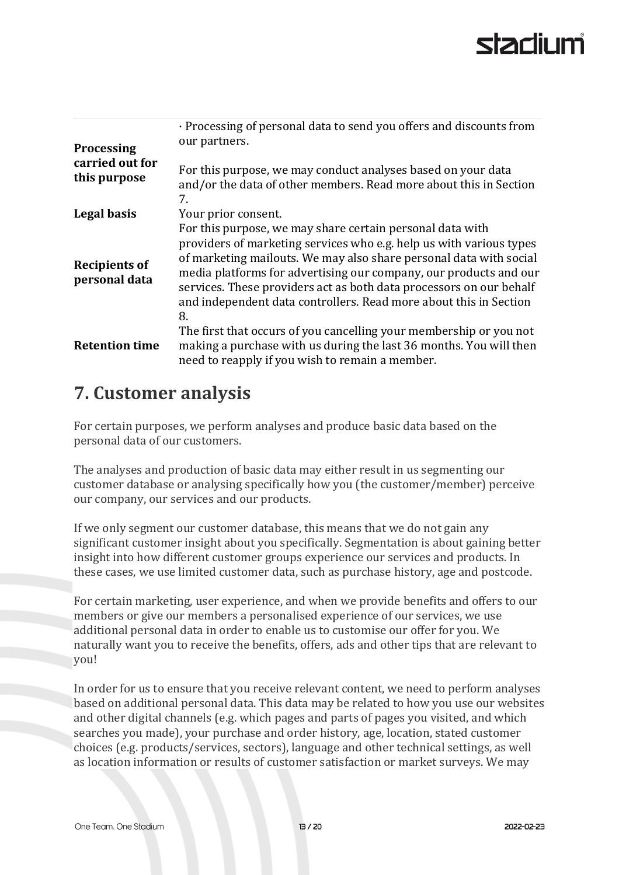# starlil ım

| <b>Processing</b>                     | · Processing of personal data to send you offers and discounts from<br>our partners.                                                                                                                                                                                                                                                                                                                                          |
|---------------------------------------|-------------------------------------------------------------------------------------------------------------------------------------------------------------------------------------------------------------------------------------------------------------------------------------------------------------------------------------------------------------------------------------------------------------------------------|
| carried out for<br>this purpose       | For this purpose, we may conduct analyses based on your data<br>and/or the data of other members. Read more about this in Section<br>7.                                                                                                                                                                                                                                                                                       |
| Legal basis                           | Your prior consent.                                                                                                                                                                                                                                                                                                                                                                                                           |
| <b>Recipients of</b><br>personal data | For this purpose, we may share certain personal data with<br>providers of marketing services who e.g. help us with various types<br>of marketing mailouts. We may also share personal data with social<br>media platforms for advertising our company, our products and our<br>services. These providers act as both data processors on our behalf<br>and independent data controllers. Read more about this in Section<br>8. |
| <b>Retention time</b>                 | The first that occurs of you cancelling your membership or you not<br>making a purchase with us during the last 36 months. You will then<br>need to reapply if you wish to remain a member.                                                                                                                                                                                                                                   |

## **7. Customer analysis**

For certain purposes, we perform analyses and produce basic data based on the personal data of our customers.

The analyses and production of basic data may either result in us segmenting our customer database or analysing specifically how you (the customer/member) perceive our company, our services and our products.

If we only segment our customer database, this means that we do not gain any significant customer insight about you specifically. Segmentation is about gaining better insight into how different customer groups experience our services and products. In these cases, we use limited customer data, such as purchase history, age and postcode.

For certain marketing, user experience, and when we provide benefits and offers to our members or give our members a personalised experience of our services, we use additional personal data in order to enable us to customise our offer for you. We naturally want you to receive the benefits, offers, ads and other tips that are relevant to you!

In order for us to ensure that you receive relevant content, we need to perform analyses based on additional personal data. This data may be related to how you use our websites and other digital channels (e.g. which pages and parts of pages you visited, and which searches you made), your purchase and order history, age, location, stated customer choices (e.g. products/services, sectors), language and other technical settings, as well as location information or results of customer satisfaction or market surveys. We may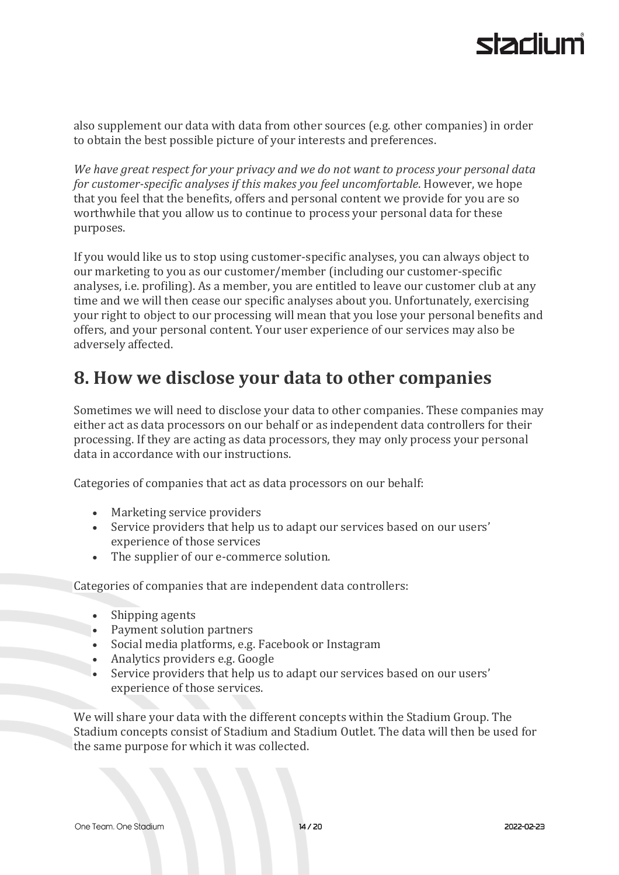also supplement our data with data from other sources (e.g. other companies) in order to obtain the best possible picture of your interests and preferences.

*We have great respect for your privacy and we do not want to process your personal data for customer-specific analyses if this makes you feel uncomfortable*. However, we hope that you feel that the benefits, offers and personal content we provide for you are so worthwhile that you allow us to continue to process your personal data for these purposes.

If you would like us to stop using customer-specific analyses, you can always object to our marketing to you as our customer/member (including our customer-specific analyses, i.e. profiling). As a member, you are entitled to leave our customer club at any time and we will then cease our specific analyses about you. Unfortunately, exercising your right to object to our processing will mean that you lose your personal benefits and offers, and your personal content. Your user experience of our services may also be adversely affected.

## **8. How we disclose your data to other companies**

Sometimes we will need to disclose your data to other companies. These companies may either act as data processors on our behalf or as independent data controllers for their processing. If they are acting as data processors, they may only process your personal data in accordance with our instructions.

Categories of companies that act as data processors on our behalf:

- Marketing service providers
- Service providers that help us to adapt our services based on our users' experience of those services
- The supplier of our e-commerce solution.

Categories of companies that are independent data controllers:

- Shipping agents
- Payment solution partners
- Social media platforms, e.g. Facebook or Instagram
- Analytics providers e.g. Google
- Service providers that help us to adapt our services based on our users' experience of those services.

We will share your data with the different concepts within the Stadium Group. The Stadium concepts consist of Stadium and Stadium Outlet. The data will then be used for the same purpose for which it was collected.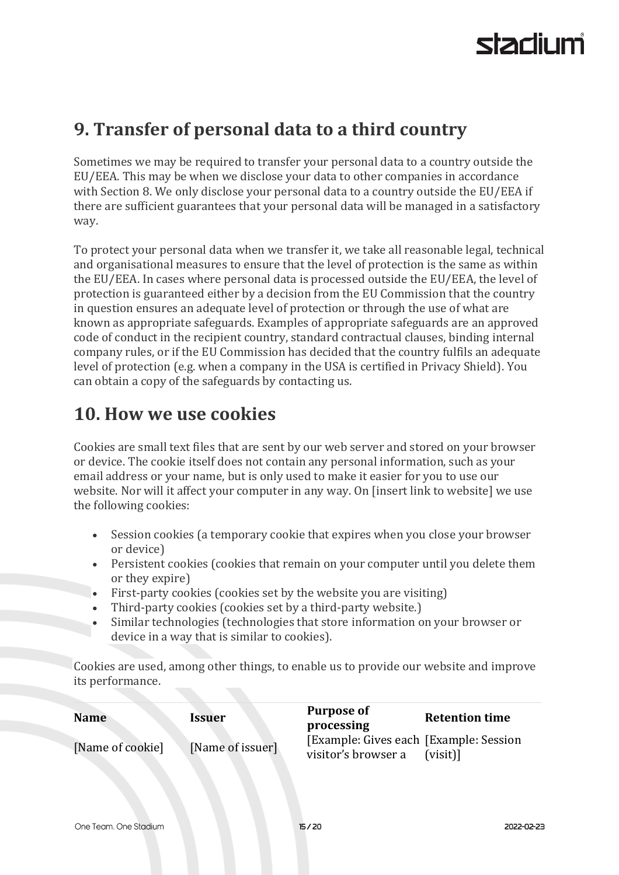## **9. Transfer of personal data to a third country**

Sometimes we may be required to transfer your personal data to a country outside the EU/EEA. This may be when we disclose your data to other companies in accordance with Section 8. We only disclose your personal data to a country outside the EU/EEA if there are sufficient guarantees that your personal data will be managed in a satisfactory way.

To protect your personal data when we transfer it, we take all reasonable legal, technical and organisational measures to ensure that the level of protection is the same as within the EU/EEA. In cases where personal data is processed outside the EU/EEA, the level of protection is guaranteed either by a decision from the EU Commission that the country in question ensures an adequate level of protection or through the use of what are known as appropriate safeguards. Examples of appropriate safeguards are an approved code of conduct in the recipient country, standard contractual clauses, binding internal company rules, or if the EU Commission has decided that the country fulfils an adequate level of protection (e.g. when a company in the USA is certified in Privacy Shield). You can obtain a copy of the safeguards by contacting us.

## **10. How we use cookies**

Cookies are small text files that are sent by our web server and stored on your browser or device. The cookie itself does not contain any personal information, such as your email address or your name, but is only used to make it easier for you to use our website. Nor will it affect your computer in any way. On [insert link to website] we use the following cookies:

- Session cookies (a temporary cookie that expires when you close your browser or device)
- Persistent cookies (cookies that remain on your computer until you delete them or they expire)
- First-party cookies (cookies set by the website you are visiting)
- Third-party cookies (cookies set by a third-party website.)
- Similar technologies (technologies that store information on your browser or device in a way that is similar to cookies).

Cookies are used, among other things, to enable us to provide our website and improve its performance.

| <b>Name</b>      | Issuer           | <b>Purpose of</b><br>processing                                | <b>Retention time</b> |
|------------------|------------------|----------------------------------------------------------------|-----------------------|
| [Name of cookie] | [Name of issuer] | [Example: Gives each [Example: Session]<br>visitor's browser a | (visit)               |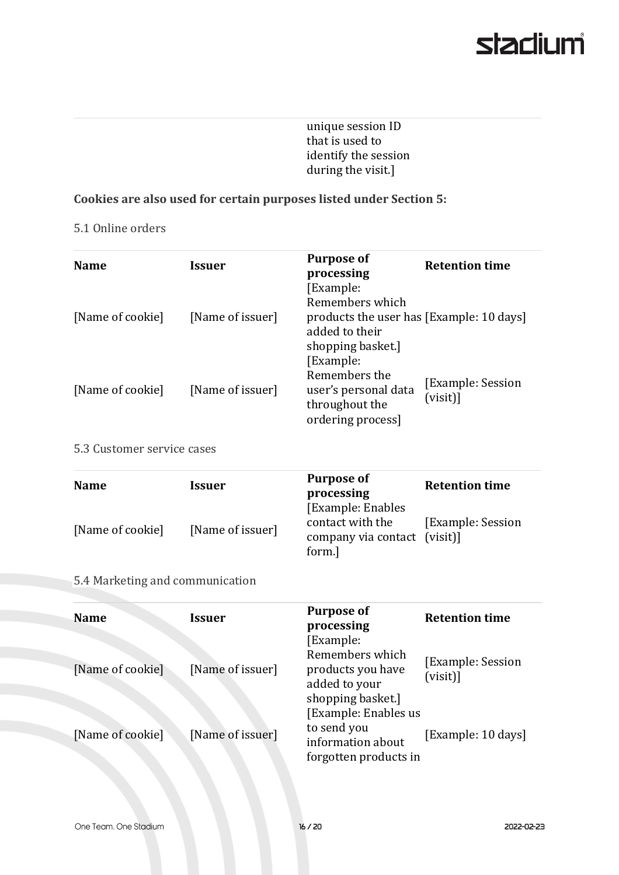unique session ID that is used to identify the session during the visit.]

#### **Cookies are also used for certain purposes listed under Section 5:**

#### 5.1 Online orders

| <b>Name</b>                     | <b>Issuer</b>                     | <b>Purpose of</b><br>processing                                                                                 | <b>Retention time</b>                                           |
|---------------------------------|-----------------------------------|-----------------------------------------------------------------------------------------------------------------|-----------------------------------------------------------------|
| [Name of cookie]                | [Name of issuer]                  | [Example:<br>Remembers which<br>products the user has [Example: 10 days]<br>added to their<br>shopping basket.] |                                                                 |
| [Name of cookie]                | [Name of issuer]                  | [Example:<br>Remembers the<br>user's personal data<br>throughout the<br>ordering process]                       | <b>Example: Session</b><br>$(visit)$ ]                          |
| 5.3 Customer service cases      |                                   |                                                                                                                 |                                                                 |
| <b>Name</b><br>[Name of cookie] | <b>Issuer</b><br>[Name of issuer] | <b>Purpose of</b><br>processing<br>[Example: Enables<br>contact with the<br>company via contact                 | <b>Retention time</b><br><b>Example: Session</b><br>$(visit)$ ] |
| 5.4 Marketing and communication |                                   | form.]                                                                                                          |                                                                 |
| <b>Name</b>                     | <b>Issuer</b>                     | <b>Purpose of</b><br>processing<br>[Example:                                                                    | <b>Retention time</b>                                           |
| [Name of cookie]                | [Name of issuer]                  | Remembers which<br>products you have<br>added to your<br>shopping basket.]                                      | <b>Example: Session</b><br>$(visit)$ ]                          |
| [Name of cookie]                | [Name of issuer]                  | [Example: Enables us<br>to send you<br>information about<br>forgotten products in                               | [Example: 10 days]                                              |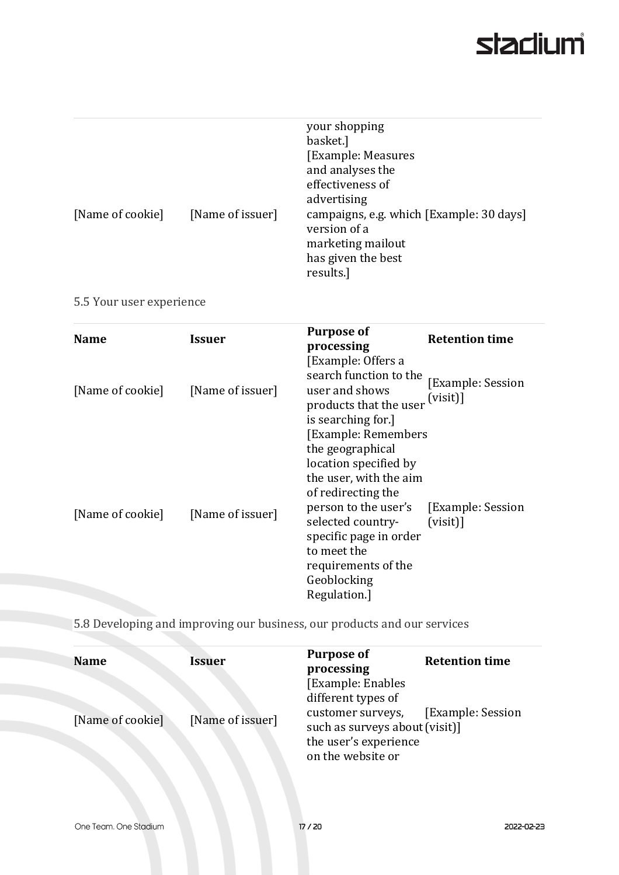| [Name of cookie] | [Name of issuer] | your shopping<br>basket.]<br>[Example: Measures]<br>and analyses the<br>effectiveness of<br>advertising<br>campaigns, e.g. which [Example: 30 days] |
|------------------|------------------|-----------------------------------------------------------------------------------------------------------------------------------------------------|
|                  |                  | version of a<br>marketing mailout                                                                                                                   |
|                  |                  | has given the best<br>results.]                                                                                                                     |

5.5 Your user experience

| <b>Name</b>      | <b>Issuer</b>    | <b>Purpose of</b><br>processing                                                                                                                                                                                                                              | <b>Retention time</b>                   |
|------------------|------------------|--------------------------------------------------------------------------------------------------------------------------------------------------------------------------------------------------------------------------------------------------------------|-----------------------------------------|
| [Name of cookie] | [Name of issuer] | [Example: Offers a<br>search function to the<br>user and shows<br>products that the user<br>is searching for.]                                                                                                                                               | <b>[Example: Session</b><br>$(visit)$ ] |
| [Name of cookie] | [Name of issuer] | [Example: Remembers<br>the geographical<br>location specified by<br>the user, with the aim<br>of redirecting the<br>person to the user's<br>selected country-<br>specific page in order<br>to meet the<br>requirements of the<br>Geoblocking<br>Regulation.] | [Example: Session]<br>(visit)           |

5.8 Developing and improving our business, our products and our services

| <b>Name</b>      | <b>Issuer</b>    | <b>Purpose of</b><br>processing                                                                   | <b>Retention time</b> |
|------------------|------------------|---------------------------------------------------------------------------------------------------|-----------------------|
|                  |                  | [Example: Enables]<br>different types of                                                          |                       |
| [Name of cookie] | [Name of issuer] | customer surveys,<br>such as surveys about (visit)]<br>the user's experience<br>on the website or | [Example: Session]    |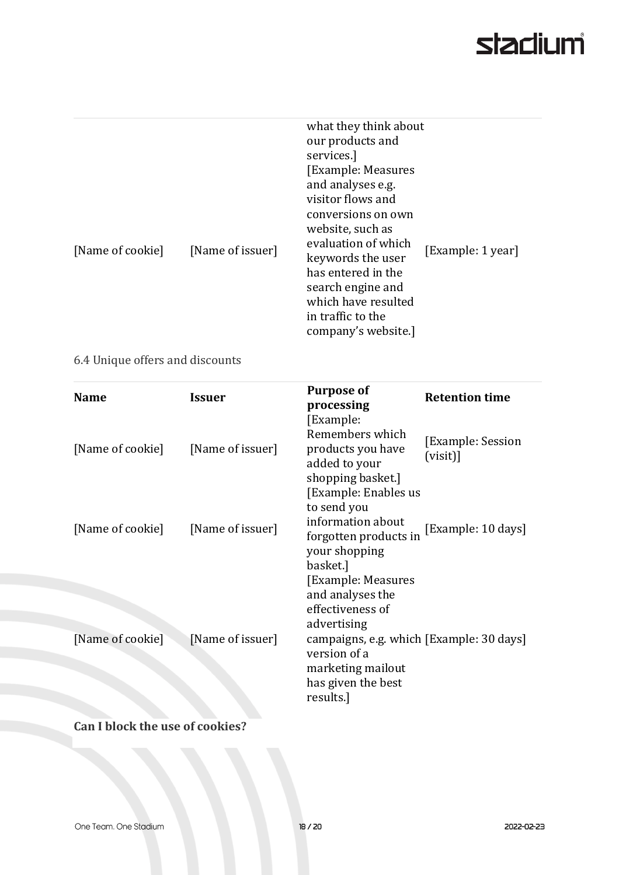| [Name of cookie]<br>6.4 Unique offers and discounts | [Name of issuer] | what they think about<br>our products and<br>services.]<br>[Example: Measures<br>and analyses e.g.<br>visitor flows and<br>conversions on own<br>website, such as<br>evaluation of which<br>keywords the user<br>has entered in the<br>search engine and<br>which have resulted<br>in traffic to the<br>company's website.] | [Example: 1 year]                       |
|-----------------------------------------------------|------------------|-----------------------------------------------------------------------------------------------------------------------------------------------------------------------------------------------------------------------------------------------------------------------------------------------------------------------------|-----------------------------------------|
| <b>Name</b>                                         | <b>Issuer</b>    | <b>Purpose of</b><br>processing<br>[Example:                                                                                                                                                                                                                                                                                | <b>Retention time</b>                   |
| [Name of cookie]                                    | [Name of issuer] | Remembers which<br>products you have<br>added to your<br>shopping basket.]<br>[Example: Enables us]                                                                                                                                                                                                                         | <b>[Example: Session</b><br>$(visit)$ ] |
| [Name of cookie]                                    | [Name of issuer] | to send you<br>information about<br>forgotten products in<br>your shopping<br>basket.]                                                                                                                                                                                                                                      | [Example: 10 days]                      |
|                                                     |                  | [Example: Measures<br>and analyses the<br>effectiveness of<br>advertising                                                                                                                                                                                                                                                   |                                         |
| [Name of cookie]                                    | [Name of issuer] | campaigns, e.g. which [Example: 30 days]<br>version of a<br>marketing mailout<br>has given the best<br>results.]                                                                                                                                                                                                            |                                         |
| Can I block the use of cookies?                     |                  |                                                                                                                                                                                                                                                                                                                             |                                         |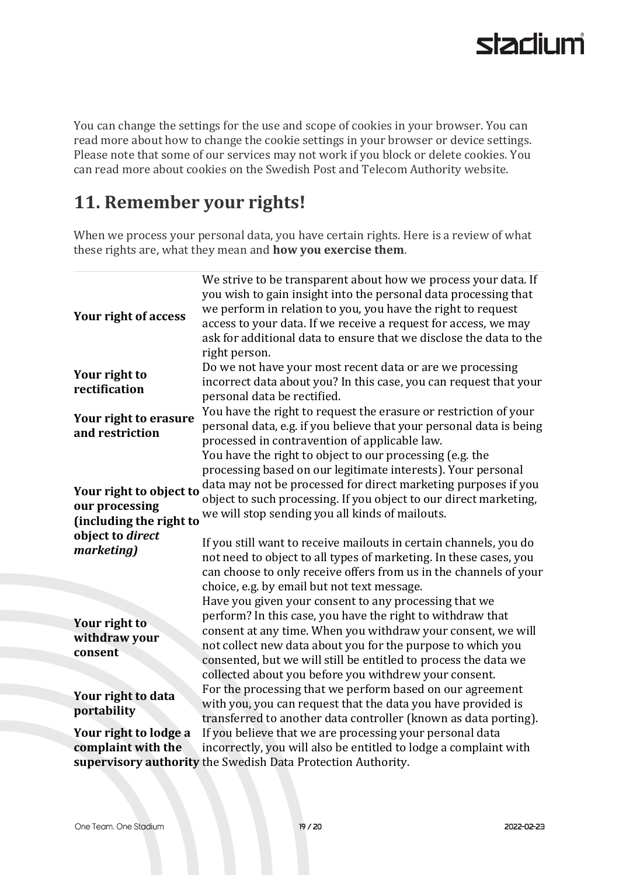You can change the settings for the use and scope of cookies in your browser. You can read more about how to change the cookie settings in your browser or device settings. Please note that some of our services may not work if you block or delete cookies. You can read more about cookies on the Swedish Post and Telecom Authority website.

## **11. Remember your rights!**

When we process your personal data, you have certain rights. Here is a review of what these rights are, what they mean and **how you exercise them**.

| <b>Your right of access</b>                                                                            | We strive to be transparent about how we process your data. If<br>you wish to gain insight into the personal data processing that<br>we perform in relation to you, you have the right to request<br>access to your data. If we receive a request for access, we may<br>ask for additional data to ensure that we disclose the data to the<br>right person.                                                                                                                                        |
|--------------------------------------------------------------------------------------------------------|----------------------------------------------------------------------------------------------------------------------------------------------------------------------------------------------------------------------------------------------------------------------------------------------------------------------------------------------------------------------------------------------------------------------------------------------------------------------------------------------------|
| Your right to<br>rectification                                                                         | Do we not have your most recent data or are we processing<br>incorrect data about you? In this case, you can request that your<br>personal data be rectified.                                                                                                                                                                                                                                                                                                                                      |
| Your right to erasure<br>and restriction                                                               | You have the right to request the erasure or restriction of your<br>personal data, e.g. if you believe that your personal data is being<br>processed in contravention of applicable law.                                                                                                                                                                                                                                                                                                           |
| Your right to object to<br>our processing<br>(including the right to<br>object to direct<br>marketing) | You have the right to object to our processing (e.g. the<br>processing based on our legitimate interests). Your personal<br>data may not be processed for direct marketing purposes if you<br>object to such processing. If you object to our direct marketing,<br>we will stop sending you all kinds of mailouts.<br>If you still want to receive mailouts in certain channels, you do<br>not need to object to all types of marketing. In these cases, you                                       |
| Your right to<br>withdraw your<br>consent                                                              | can choose to only receive offers from us in the channels of your<br>choice, e.g. by email but not text message.<br>Have you given your consent to any processing that we<br>perform? In this case, you have the right to withdraw that<br>consent at any time. When you withdraw your consent, we will<br>not collect new data about you for the purpose to which you<br>consented, but we will still be entitled to process the data we<br>collected about you before you withdrew your consent. |
| Your right to data<br>portability                                                                      | For the processing that we perform based on our agreement<br>with you, you can request that the data you have provided is<br>transferred to another data controller (known as data porting).                                                                                                                                                                                                                                                                                                       |
| Your right to lodge a<br>complaint with the                                                            | If you believe that we are processing your personal data<br>incorrectly, you will also be entitled to lodge a complaint with<br>supervisory authority the Swedish Data Protection Authority.                                                                                                                                                                                                                                                                                                       |